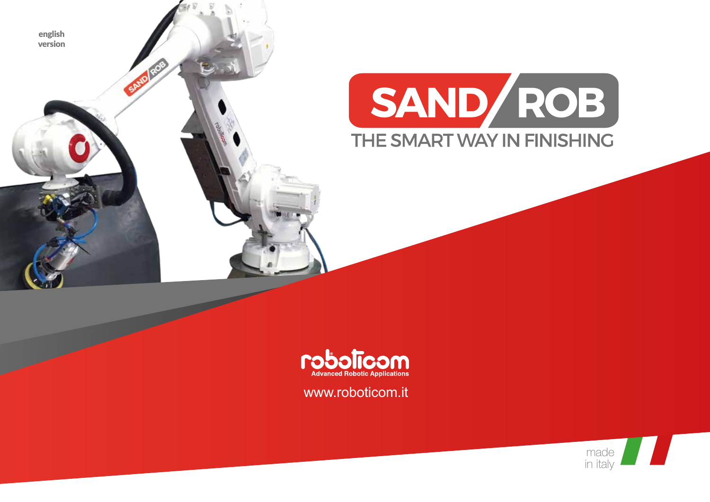



made in italy



www.roboticom.it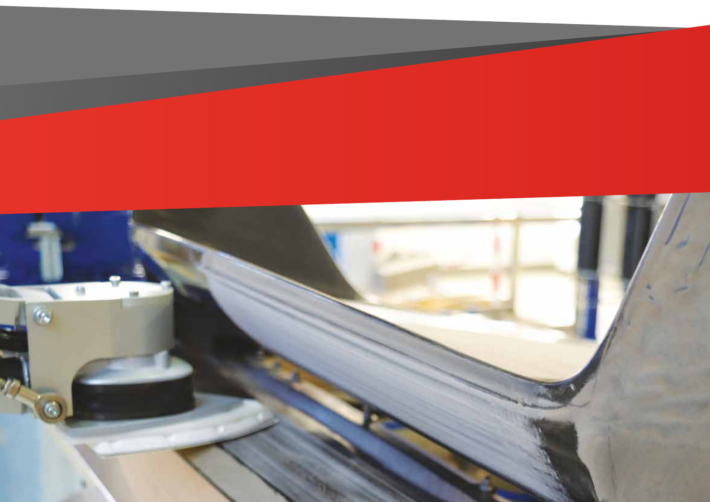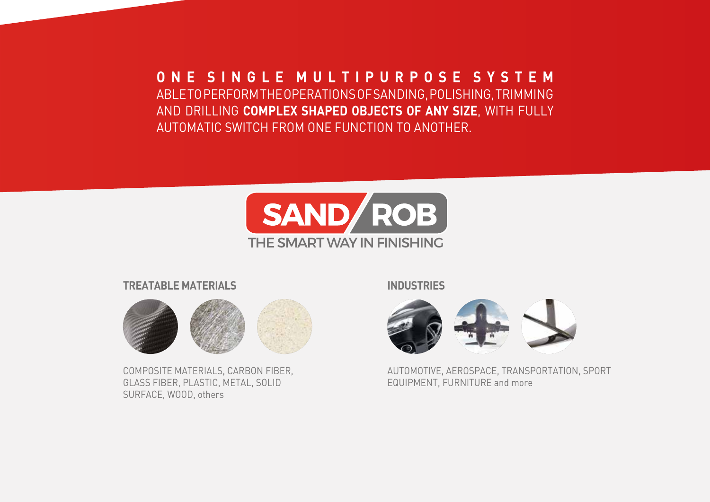**O N E S I N G L E M U L T I P U R P O S E S Y S T E M**  ABLE TO PERFORM THE OPERATIONS OF SANDING, POLISHING, TRIMMING AND DRILLING **COMPLEX SHAPED OBJECTS OF ANY SIZE**, WITH FULLY AUTOMATIC SWITCH FROM ONE FUNCTION TO ANOTHER.



#### **TREATABLE MATERIALS INDUSTRIES**





COMPOSITE MATERIALS, CARBON FIBER, GLASS FIBER, PLASTIC, METAL, SOLID SURFACE, WOOD, others



AUTOMOTIVE, AEROSPACE, TRANSPORTATION, SPORT EQUIPMENT, FURNITURE and more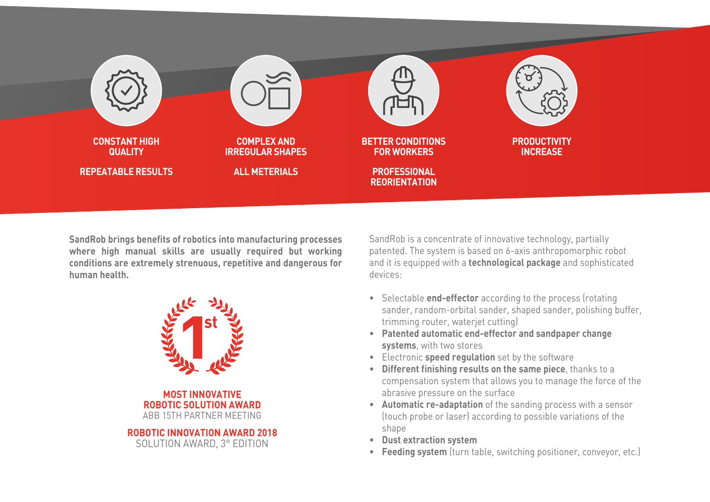

**SandRob brings benefits of robotics into manufacturing processes where high manual skills are usually required but working conditions are extremely strenuous, repetitive and dangerous for human health.**



SandRob is a concentrate of innovative technology, partially patented. The system is based on 6-axis anthropomorphic robot and it is equipped with a **technological package** and sophisticated devices:

- Selectable **end-effector** according to the process (rotating sander, random-orbital sander, shaped sander, polishing buffer, trimming router, waterjet cutting)
- **Patented automatic end-effector and sandpaper change systems**, with two stores
- Electronic **speed regulation** set by the software
- **Different finishing results on the same piece**, thanks to a compensation system that allows you to manage the force of the abrasive pressure on the surface
- **Automatic re-adaptation** of the sanding process with a sensor (touch probe or laser) according to possible variations of the shape
- **Dust extraction system**
- **Feeding system** (turn table, switching positioner, conveyor, etc.)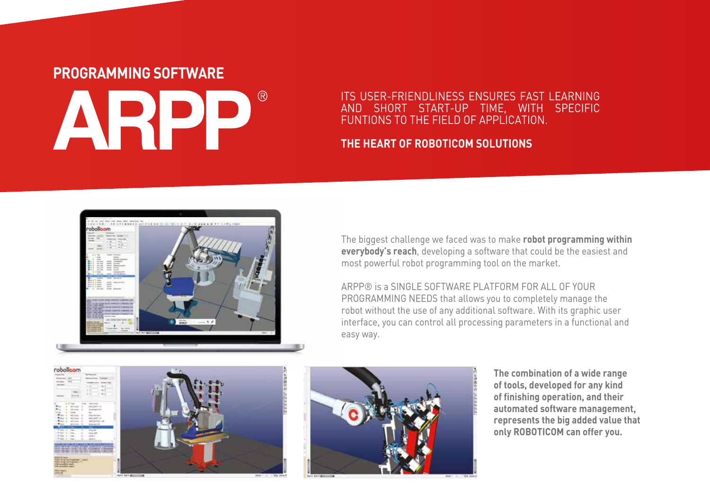# **PROGRAMMING SOFTWARE** ARPF  $\circledR$

ITS USER-FRIENDLINESS ENSURES FAST LEARNING AND SHORT START-UP TIME, WITH SPECIFIC FUNTIONS TO THE FIELD OF APPLICATION.

### **THE HEART OF ROBOTICOM SOLUTIONS**



The biggest challenge we faced was to make **robot programming within everybody's reach**, developing a software that could be the easiest and most powerful robot programming tool on the market.

ARPP® is a SINGLE SOFTWARE PLATFORM FOR ALL OF YOUR PROGRAMMING NEEDS that allows you to completely manage the robot without the use of any additional software. With its graphic user interface, you can control all processing parameters in a functional and easy way.





**The combination of a wide range of tools, developed for any kind of finishing operation, and their automated software management, represents the big added value that only ROBOTICOM can offer you.**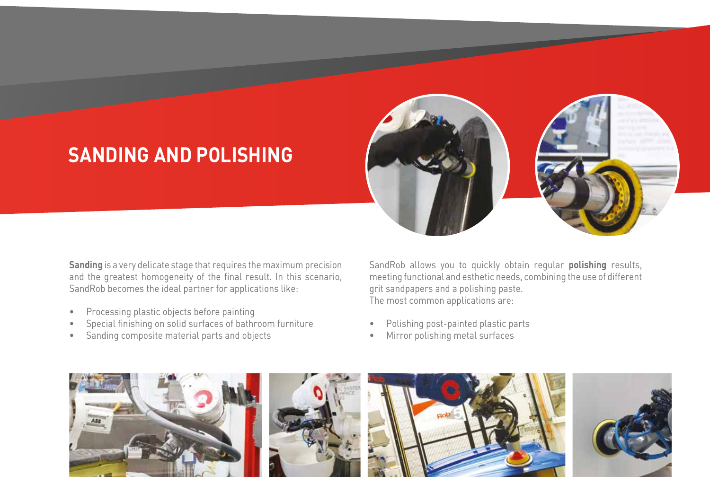### **SANDING AND POLISHING**

**Sanding** is a very delicate stage that requires the maximum precision and the greatest homogeneity of the final result. In this scenario, SandRob becomes the ideal partner for applications like:

- Processing plastic objects before painting
- Special finishing on solid surfaces of bathroom furniture
- Sanding composite material parts and objects

SandRob allows you to quickly obtain regular **polishing** results, meeting functional and esthetic needs, combining the use of different grit sandpapers and a polishing paste. The most common applications are:

- Polishing post-painted plastic parts
- Mirror polishing metal surfaces

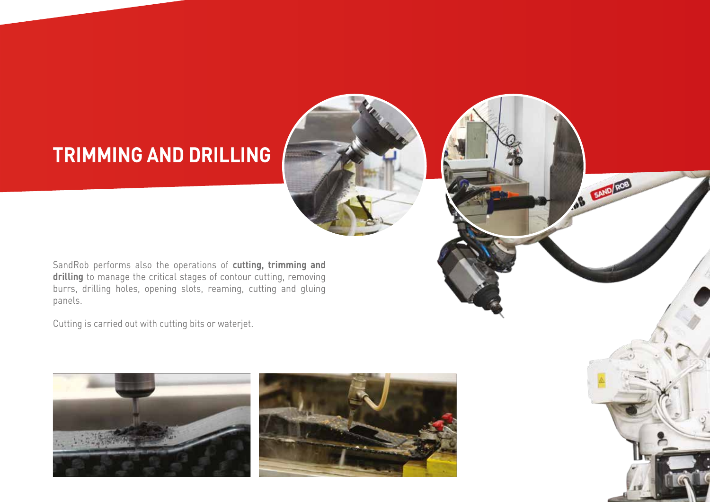## **TRIMMING AND DRILLING**

SandRob performs also the operations of **cutting, trimming and drilling** to manage the critical stages of contour cutting, removing burrs, drilling holes, opening slots, reaming, cutting and gluing panels.

Cutting is carried out with cutting bits or waterjet.





**CAND FROM**